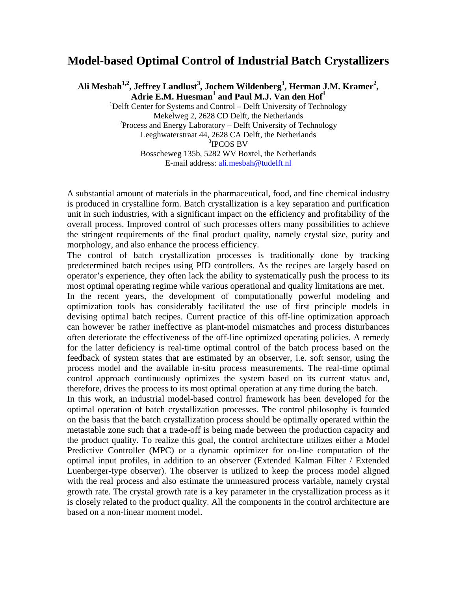## **Model-based Optimal Control of Industrial Batch Crystallizers**

Ali Mesbah<sup>1,2</sup>, Jeffrey Landlust<sup>3</sup>, Jochem Wildenberg<sup>3</sup>, Herman J.M. Kramer<sup>2</sup>, Adrie E.M. Huesman<sup>1</sup> and Paul M.J. Van den Hof<sup>1</sup>

 $1$ Delft Center for Systems and Control – Delft University of Technology Mekelweg 2, 2628 CD Delft, the Netherlands  $2$ Process and Energy Laboratory – Delft University of Technology Leeghwaterstraat 44, 2628 CA Delft, the Netherlands 3 IPCOS BV Bosscheweg 135b, 5282 WV Boxtel, the Netherlands E-mail address: [ali.mesbah@tudelft.nl](mailto:ali.mesbah@tudelft.nl)

A substantial amount of materials in the pharmaceutical, food, and fine chemical industry is produced in crystalline form. Batch crystallization is a key separation and purification unit in such industries, with a significant impact on the efficiency and profitability of the overall process. Improved control of such processes offers many possibilities to achieve the stringent requirements of the final product quality, namely crystal size, purity and morphology, and also enhance the process efficiency.

The control of batch crystallization processes is traditionally done by tracking predetermined batch recipes using PID controllers. As the recipes are largely based on operator's experience, they often lack the ability to systematically push the process to its most optimal operating regime while various operational and quality limitations are met.

In the recent years, the development of computationally powerful modeling and optimization tools has considerably facilitated the use of first principle models in devising optimal batch recipes. Current practice of this off-line optimization approach can however be rather ineffective as plant-model mismatches and process disturbances often deteriorate the effectiveness of the off-line optimized operating policies. A remedy for the latter deficiency is real-time optimal control of the batch process based on the feedback of system states that are estimated by an observer, i.e. soft sensor, using the process model and the available in-situ process measurements. The real-time optimal control approach continuously optimizes the system based on its current status and, therefore, drives the process to its most optimal operation at any time during the batch.

In this work, an industrial model-based control framework has been developed for the optimal operation of batch crystallization processes. The control philosophy is founded on the basis that the batch crystallization process should be optimally operated within the metastable zone such that a trade-off is being made between the production capacity and the product quality. To realize this goal, the control architecture utilizes either a Model Predictive Controller (MPC) or a dynamic optimizer for on-line computation of the optimal input profiles, in addition to an observer (Extended Kalman Filter / Extended Luenberger-type observer). The observer is utilized to keep the process model aligned with the real process and also estimate the unmeasured process variable, namely crystal growth rate. The crystal growth rate is a key parameter in the crystallization process as it is closely related to the product quality. All the components in the control architecture are based on a non-linear moment model.